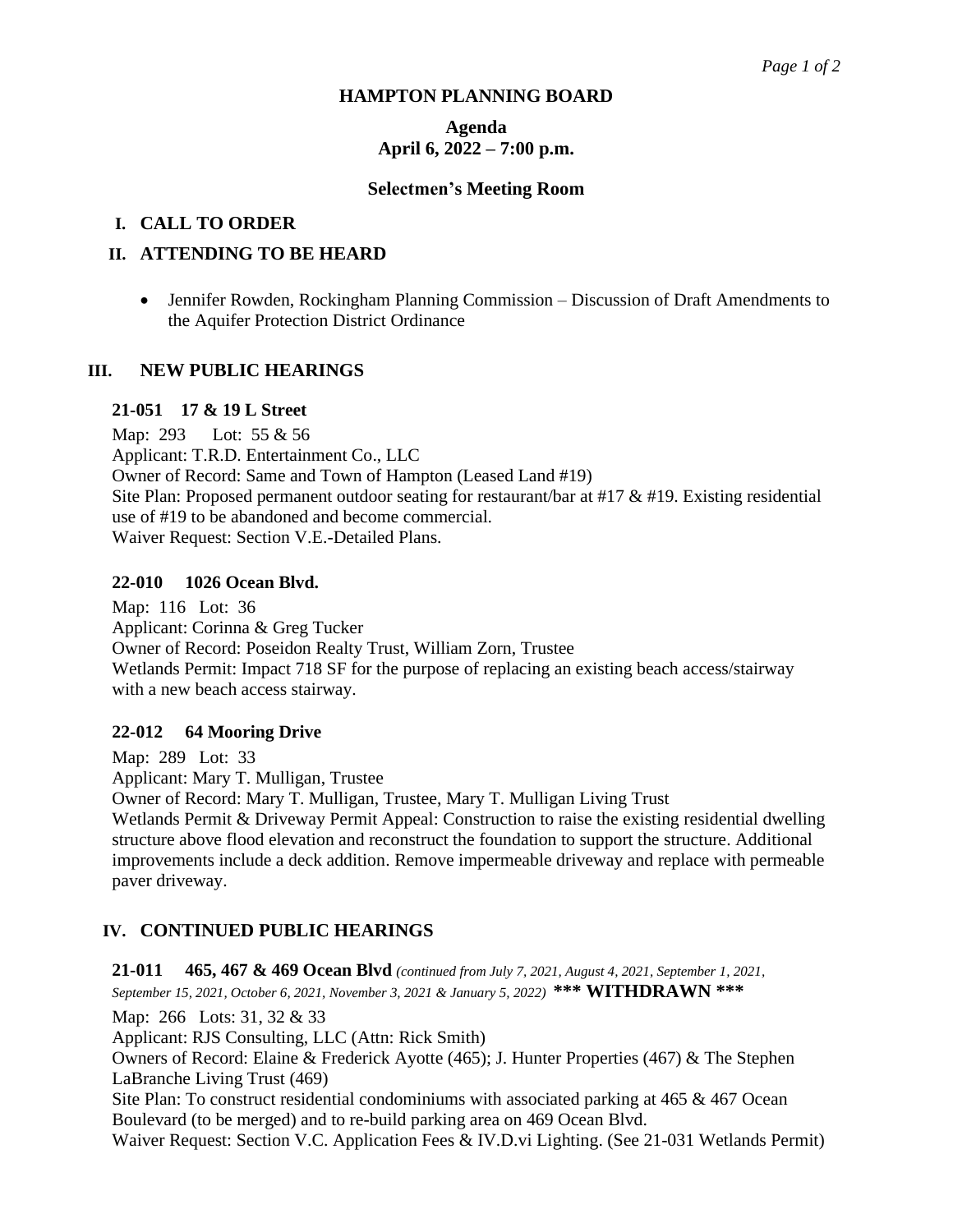### **HAMPTON PLANNING BOARD**

# **Agenda April 6, 2022 – 7:00 p.m.**

#### **Selectmen's Meeting Room**

# **I. CALL TO ORDER**

# **II. ATTENDING TO BE HEARD**

• Jennifer Rowden, Rockingham Planning Commission – Discussion of Draft Amendments to the Aquifer Protection District Ordinance

### **III. NEW PUBLIC HEARINGS**

# **21-051 17 & 19 L Street**

Map: 293 Lot: 55 & 56 Applicant: T.R.D. Entertainment Co., LLC Owner of Record: Same and Town of Hampton (Leased Land #19) Site Plan: Proposed permanent outdoor seating for restaurant/bar at #17 & #19. Existing residential use of #19 to be abandoned and become commercial. Waiver Request: Section V.E.-Detailed Plans.

#### **22-010 1026 Ocean Blvd.**

Map: 116 Lot: 36 Applicant: Corinna & Greg Tucker Owner of Record: Poseidon Realty Trust, William Zorn, Trustee Wetlands Permit: Impact 718 SF for the purpose of replacing an existing beach access/stairway with a new beach access stairway.

#### **22-012 64 Mooring Drive**

Map: 289 Lot: 33 Applicant: Mary T. Mulligan, Trustee Owner of Record: Mary T. Mulligan, Trustee, Mary T. Mulligan Living Trust Wetlands Permit & Driveway Permit Appeal: Construction to raise the existing residential dwelling structure above flood elevation and reconstruct the foundation to support the structure. Additional improvements include a deck addition. Remove impermeable driveway and replace with permeable paver driveway.

# **IV. CONTINUED PUBLIC HEARINGS**

**21-011 465, 467 & 469 Ocean Blvd** *(continued from July 7, 2021, August 4, 2021, September 1, 2021, September 15, 2021, October 6, 2021, November 3, 2021 & January 5, 2022)* **\*\*\* WITHDRAWN \*\*\***

Map: 266 Lots: 31, 32 & 33

Applicant: RJS Consulting, LLC (Attn: Rick Smith)

Owners of Record: Elaine & Frederick Ayotte (465); J. Hunter Properties (467) & The Stephen LaBranche Living Trust (469)

Site Plan: To construct residential condominiums with associated parking at 465 & 467 Ocean Boulevard (to be merged) and to re-build parking area on 469 Ocean Blvd.

Waiver Request: Section V.C. Application Fees & IV.D.vi Lighting. (See 21-031 Wetlands Permit)